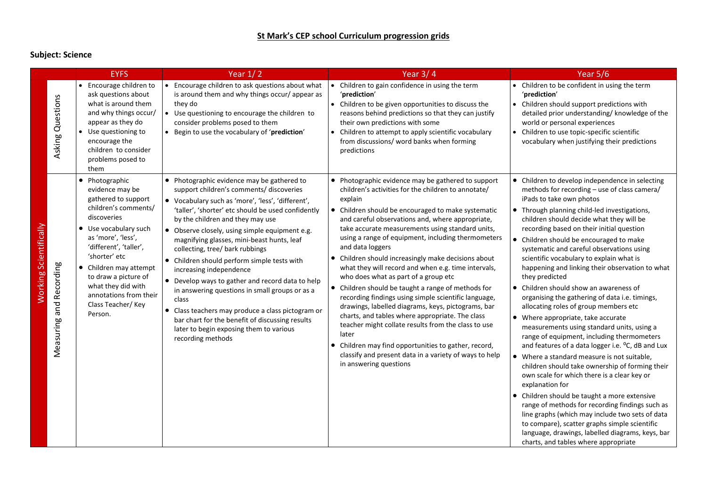## **Subject: Science**

|                        |                         | <b>EYFS</b>                                                                                                                                                                                                                                                                                                                          | Year $1/2$                                                                                                                                                                                                                                                                                                                                                                                                                                                                                                                                                                                                                                                                                                                                | Year $3/4$                                                                                                                                                                                                                                                                                                                                                                                                                                                                                                                                                                                                                                                                                                                                                                                                                                                                                                                                          | Year $5/6$                                                                                                                                                                                                                                                                                                                                                                                                                                                                                                                                                                                                                                                                                                                                                                                                                                                                                                                                                                                                                                                                                                                                                                                                                                                                       |
|------------------------|-------------------------|--------------------------------------------------------------------------------------------------------------------------------------------------------------------------------------------------------------------------------------------------------------------------------------------------------------------------------------|-------------------------------------------------------------------------------------------------------------------------------------------------------------------------------------------------------------------------------------------------------------------------------------------------------------------------------------------------------------------------------------------------------------------------------------------------------------------------------------------------------------------------------------------------------------------------------------------------------------------------------------------------------------------------------------------------------------------------------------------|-----------------------------------------------------------------------------------------------------------------------------------------------------------------------------------------------------------------------------------------------------------------------------------------------------------------------------------------------------------------------------------------------------------------------------------------------------------------------------------------------------------------------------------------------------------------------------------------------------------------------------------------------------------------------------------------------------------------------------------------------------------------------------------------------------------------------------------------------------------------------------------------------------------------------------------------------------|----------------------------------------------------------------------------------------------------------------------------------------------------------------------------------------------------------------------------------------------------------------------------------------------------------------------------------------------------------------------------------------------------------------------------------------------------------------------------------------------------------------------------------------------------------------------------------------------------------------------------------------------------------------------------------------------------------------------------------------------------------------------------------------------------------------------------------------------------------------------------------------------------------------------------------------------------------------------------------------------------------------------------------------------------------------------------------------------------------------------------------------------------------------------------------------------------------------------------------------------------------------------------------|
|                        | Asking Questions        | Encourage children to<br>$\bullet$<br>ask questions about<br>what is around them<br>and why things occur/<br>appear as they do<br>Use questioning to<br>encourage the<br>children to consider<br>problems posed to<br>them                                                                                                           | Encourage children to ask questions about what<br>is around them and why things occur/ appear as<br>they do<br>• Use questioning to encourage the children to<br>consider problems posed to them<br>• Begin to use the vocabulary of 'prediction'                                                                                                                                                                                                                                                                                                                                                                                                                                                                                         | • Children to gain confidence in using the term<br>'prediction'<br>• Children to be given opportunities to discuss the<br>reasons behind predictions so that they can justify<br>their own predictions with some<br>• Children to attempt to apply scientific vocabulary<br>from discussions/ word banks when forming<br>predictions                                                                                                                                                                                                                                                                                                                                                                                                                                                                                                                                                                                                                | • Children to be confident in using the term<br>'prediction'<br>• Children should support predictions with<br>detailed prior understanding/ knowledge of the<br>world or personal experiences<br>• Children to use topic-specific scientific<br>vocabulary when justifying their predictions                                                                                                                                                                                                                                                                                                                                                                                                                                                                                                                                                                                                                                                                                                                                                                                                                                                                                                                                                                                     |
| Working Scientifically | Measuring and Recording | • Photographic<br>evidence may be<br>gathered to support<br>children's comments/<br>discoveries<br>Use vocabulary such<br>$\bullet$<br>as 'more', 'less',<br>'different', 'taller',<br>'shorter' etc<br>Children may attempt<br>to draw a picture of<br>what they did with<br>annotations from their<br>Class Teacher/Key<br>Person. | • Photographic evidence may be gathered to<br>support children's comments/ discoveries<br>• Vocabulary such as 'more', 'less', 'different',<br>'taller', 'shorter' etc should be used confidently<br>by the children and they may use<br>• Observe closely, using simple equipment e.g.<br>magnifying glasses, mini-beast hunts, leaf<br>collecting, tree/ bark rubbings<br>• Children should perform simple tests with<br>increasing independence<br>• Develop ways to gather and record data to help<br>in answering questions in small groups or as a<br>class<br>• Class teachers may produce a class pictogram or<br>bar chart for the benefit of discussing results<br>later to begin exposing them to various<br>recording methods | • Photographic evidence may be gathered to support<br>children's activities for the children to annotate/<br>explain<br>• Children should be encouraged to make systematic<br>and careful observations and, where appropriate,<br>take accurate measurements using standard units,<br>using a range of equipment, including thermometers<br>and data loggers<br>• Children should increasingly make decisions about<br>what they will record and when e.g. time intervals,<br>who does what as part of a group etc<br>• Children should be taught a range of methods for<br>recording findings using simple scientific language,<br>drawings, labelled diagrams, keys, pictograms, bar<br>charts, and tables where appropriate. The class<br>teacher might collate results from the class to use<br>later<br>Children may find opportunities to gather, record,<br>classify and present data in a variety of ways to help<br>in answering questions | • Children to develop independence in selecting<br>methods for recording - use of class camera/<br>iPads to take own photos<br>• Through planning child-led investigations,<br>children should decide what they will be<br>recording based on their initial question<br>• Children should be encouraged to make<br>systematic and careful observations using<br>scientific vocabulary to explain what is<br>happening and linking their observation to what<br>they predicted<br>• Children should show an awareness of<br>organising the gathering of data i.e. timings,<br>allocating roles of group members etc<br>• Where appropriate, take accurate<br>measurements using standard units, using a<br>range of equipment, including thermometers<br>and features of a data logger i.e. °C, dB and Lux<br>• Where a standard measure is not suitable,<br>children should take ownership of forming their<br>own scale for which there is a clear key or<br>explanation for<br>• Children should be taught a more extensive<br>range of methods for recording findings such as<br>line graphs (which may include two sets of data<br>to compare), scatter graphs simple scientific<br>language, drawings, labelled diagrams, keys, bar<br>charts, and tables where appropriate |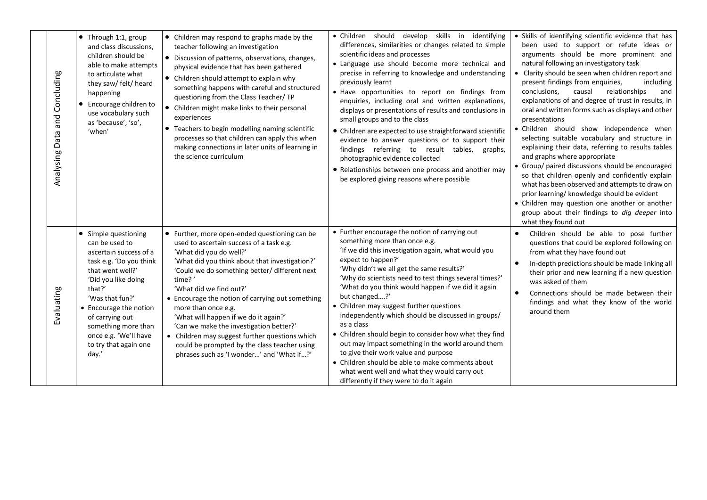| Analysing Data and Concluding | • Through 1:1, group<br>and class discussions,<br>children should be<br>able to make attempts<br>to articulate what<br>they saw/ felt/ heard<br>happening<br>Encourage children to<br>use vocabulary such<br>as 'because', 'so',<br>'when'                                                         | • Children may respond to graphs made by the<br>teacher following an investigation<br>• Discussion of patterns, observations, changes,<br>physical evidence that has been gathered<br>• Children should attempt to explain why<br>something happens with careful and structured<br>questioning from the Class Teacher/ TP<br>• Children might make links to their personal<br>experiences<br>• Teachers to begin modelling naming scientific<br>processes so that children can apply this when<br>making connections in later units of learning in<br>the science curriculum | · Children should develop skills in identifying<br>differences, similarities or changes related to simple<br>scientific ideas and processes<br>• Language use should become more technical and<br>precise in referring to knowledge and understanding<br>previously learnt<br>· Have opportunities to report on findings from<br>enquiries, including oral and written explanations,<br>displays or presentations of results and conclusions in<br>small groups and to the class<br>• Children are expected to use straightforward scientific<br>evidence to answer questions or to support their<br>findings referring to result tables, graphs,<br>photographic evidence collected<br>• Relationships between one process and another may<br>be explored giving reasons where possible | • Skills of identifying scientific evidence that has<br>been used to support or refute ideas or<br>arguments should be more prominent and<br>natural following an investigatory task<br>Clarity should be seen when children report and<br>present findings from enquiries,<br>including<br>relationships<br>conclusions,<br>causal<br>and<br>explanations of and degree of trust in results, in<br>oral and written forms such as displays and other<br>presentations<br>Children should show independence when<br>selecting suitable vocabulary and structure in<br>explaining their data, referring to results tables<br>and graphs where appropriate<br>• Group/ paired discussions should be encouraged<br>so that children openly and confidently explain<br>what has been observed and attempts to draw on<br>prior learning/ knowledge should be evident<br>• Children may question one another or another<br>group about their findings to dig deeper into<br>what they found out |
|-------------------------------|----------------------------------------------------------------------------------------------------------------------------------------------------------------------------------------------------------------------------------------------------------------------------------------------------|------------------------------------------------------------------------------------------------------------------------------------------------------------------------------------------------------------------------------------------------------------------------------------------------------------------------------------------------------------------------------------------------------------------------------------------------------------------------------------------------------------------------------------------------------------------------------|------------------------------------------------------------------------------------------------------------------------------------------------------------------------------------------------------------------------------------------------------------------------------------------------------------------------------------------------------------------------------------------------------------------------------------------------------------------------------------------------------------------------------------------------------------------------------------------------------------------------------------------------------------------------------------------------------------------------------------------------------------------------------------------|--------------------------------------------------------------------------------------------------------------------------------------------------------------------------------------------------------------------------------------------------------------------------------------------------------------------------------------------------------------------------------------------------------------------------------------------------------------------------------------------------------------------------------------------------------------------------------------------------------------------------------------------------------------------------------------------------------------------------------------------------------------------------------------------------------------------------------------------------------------------------------------------------------------------------------------------------------------------------------------------|
| Evaluating                    | • Simple questioning<br>can be used to<br>ascertain success of a<br>task e.g. 'Do you think<br>that went well?'<br>'Did you like doing<br>that?'<br>'Was that fun?'<br>• Encourage the notion<br>of carrying out<br>something more than<br>once e.g. 'We'll have<br>to try that again one<br>day.' | • Further, more open-ended questioning can be<br>used to ascertain success of a task e.g.<br>'What did you do well?'<br>'What did you think about that investigation?'<br>'Could we do something better/ different next<br>time?'<br>'What did we find out?'<br>• Encourage the notion of carrying out something<br>more than once e.g.<br>'What will happen if we do it again?'<br>'Can we make the investigation better?'<br>• Children may suggest further questions which<br>could be prompted by the class teacher using<br>phrases such as 'I wonder' and 'What if?'   | • Further encourage the notion of carrying out<br>something more than once e.g.<br>'If we did this investigation again, what would you<br>expect to happen?'<br>'Why didn't we all get the same results?'<br>'Why do scientists need to test things several times?'<br>'What do you think would happen if we did it again<br>but changed?'<br>• Children may suggest further questions<br>independently which should be discussed in groups/<br>as a class<br>• Children should begin to consider how what they find<br>out may impact something in the world around them<br>to give their work value and purpose<br>• Children should be able to make comments about<br>what went well and what they would carry out<br>differently if they were to do it again                         | Children should be able to pose further<br>$\bullet$<br>questions that could be explored following on<br>from what they have found out<br>In-depth predictions should be made linking all<br>their prior and new learning if a new question<br>was asked of them<br>Connections should be made between their<br>findings and what they know of the world<br>around them                                                                                                                                                                                                                                                                                                                                                                                                                                                                                                                                                                                                                    |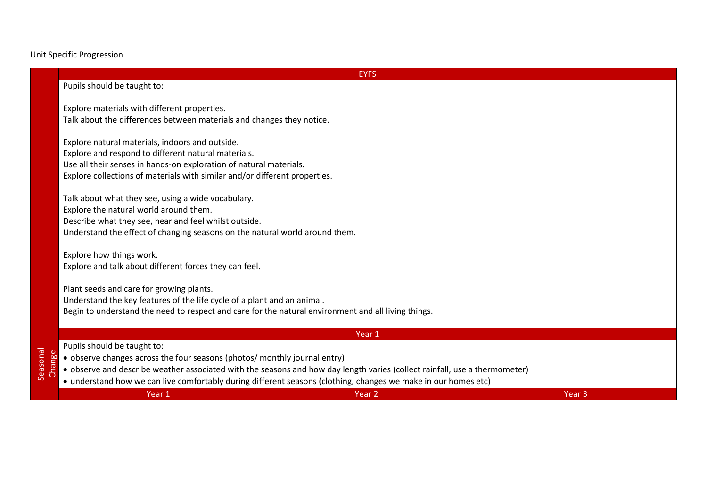Unit Specific Progression

## **EYFS**

## Pupils should be taught to:

Explore materials with different properties. Talk about the differences between materials and changes they notice.

Explore natural materials, indoors and outside. Explore and respond to different natural materials. Use all their senses in hands-on exploration of natural materials. Explore collections of materials with similar and/or different properties.

Talk about what they see, using a wide vocabulary. Explore the natural world around them. Describe what they see, hear and feel whilst outside. Understand the effect of changing seasons on the natural world around them.

Explore how things work. Explore and talk about different forces they can feel.

Plant seeds and care for growing plants. Understand the key features of the life cycle of a plant and an animal. Begin to understand the need to respect and care for the natural environment and all living things.

|                | Year 1                                                                                                                                                         |        |        |  |  |  |
|----------------|----------------------------------------------------------------------------------------------------------------------------------------------------------------|--------|--------|--|--|--|
| <b>Dispond</b> | Pupils should be taught to:                                                                                                                                    |        |        |  |  |  |
|                | $\bullet$ observe changes across the four seasons (photos/ monthly journal entry)                                                                              |        |        |  |  |  |
|                | $\frac{8}{6}$ $\frac{8}{5}$ $\bullet$ observe and describe weather associated with the seasons and how day length varies (collect rainfall, use a thermometer) |        |        |  |  |  |
|                | • understand how we can live comfortably during different seasons (clothing, changes we make in our homes etc)                                                 |        |        |  |  |  |
|                | Year 1                                                                                                                                                         | Year 2 | Year 3 |  |  |  |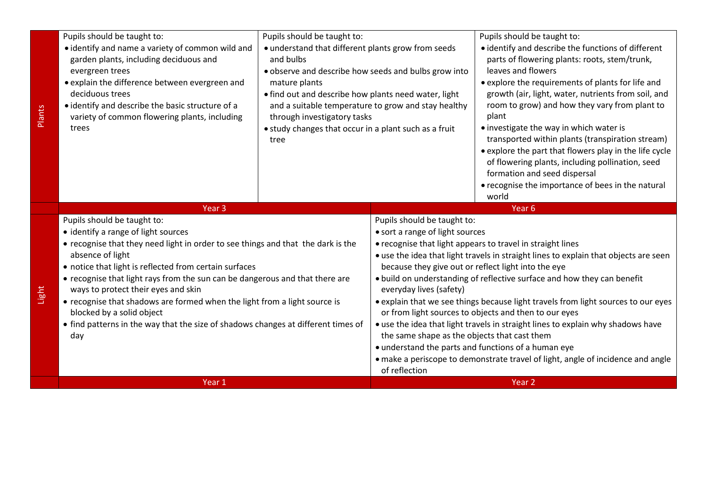| Pupils should be taught to:<br>• identify and name a variety of common wild and<br>garden plants, including deciduous and<br>evergreen trees<br>· explain the difference between evergreen and<br>deciduous trees<br>• identify and describe the basic structure of a<br>variety of common flowering plants, including<br>trees                                                                                                                                                                                                                                   | Pupils should be taught to:<br>• understand that different plants grow from seeds<br>and bulbs<br>· observe and describe how seeds and bulbs grow into<br>mature plants<br>• find out and describe how plants need water, light<br>and a suitable temperature to grow and stay healthy<br>through investigatory tasks<br>• study changes that occur in a plant such as a fruit<br>tree |                                                                                                                                                                                                                   | Pupils should be taught to:<br>• identify and describe the functions of different<br>parts of flowering plants: roots, stem/trunk,<br>leaves and flowers<br>• explore the requirements of plants for life and<br>growth (air, light, water, nutrients from soil, and<br>room to grow) and how they vary from plant to<br>plant<br>• investigate the way in which water is<br>transported within plants (transpiration stream)<br>• explore the part that flowers play in the life cycle<br>of flowering plants, including pollination, seed<br>formation and seed dispersal<br>• recognise the importance of bees in the natural<br>world |
|-------------------------------------------------------------------------------------------------------------------------------------------------------------------------------------------------------------------------------------------------------------------------------------------------------------------------------------------------------------------------------------------------------------------------------------------------------------------------------------------------------------------------------------------------------------------|----------------------------------------------------------------------------------------------------------------------------------------------------------------------------------------------------------------------------------------------------------------------------------------------------------------------------------------------------------------------------------------|-------------------------------------------------------------------------------------------------------------------------------------------------------------------------------------------------------------------|-------------------------------------------------------------------------------------------------------------------------------------------------------------------------------------------------------------------------------------------------------------------------------------------------------------------------------------------------------------------------------------------------------------------------------------------------------------------------------------------------------------------------------------------------------------------------------------------------------------------------------------------|
| Year <sub>3</sub>                                                                                                                                                                                                                                                                                                                                                                                                                                                                                                                                                 |                                                                                                                                                                                                                                                                                                                                                                                        |                                                                                                                                                                                                                   | Year <sub>6</sub>                                                                                                                                                                                                                                                                                                                                                                                                                                                                                                                                                                                                                         |
| Pupils should be taught to:<br>• identify a range of light sources<br>• recognise that they need light in order to see things and that the dark is the<br>absence of light<br>• notice that light is reflected from certain surfaces<br>• recognise that light rays from the sun can be dangerous and that there are<br>ways to protect their eyes and skin<br>• recognise that shadows are formed when the light from a light source is<br>blocked by a solid object<br>• find patterns in the way that the size of shadows changes at different times of<br>day |                                                                                                                                                                                                                                                                                                                                                                                        | Pupils should be taught to:<br>• sort a range of light sources<br>because they give out or reflect light into the eye<br>everyday lives (safety)<br>the same shape as the objects that cast them<br>of reflection | • recognise that light appears to travel in straight lines<br>• use the idea that light travels in straight lines to explain that objects are seen<br>. build on understanding of reflective surface and how they can benefit<br>• explain that we see things because light travels from light sources to our eyes<br>or from light sources to objects and then to our eyes<br>• use the idea that light travels in straight lines to explain why shadows have<br>• understand the parts and functions of a human eye<br>• make a periscope to demonstrate travel of light, angle of incidence and angle                                  |
| Year 1                                                                                                                                                                                                                                                                                                                                                                                                                                                                                                                                                            |                                                                                                                                                                                                                                                                                                                                                                                        |                                                                                                                                                                                                                   | Year <sub>2</sub>                                                                                                                                                                                                                                                                                                                                                                                                                                                                                                                                                                                                                         |

Plants

Light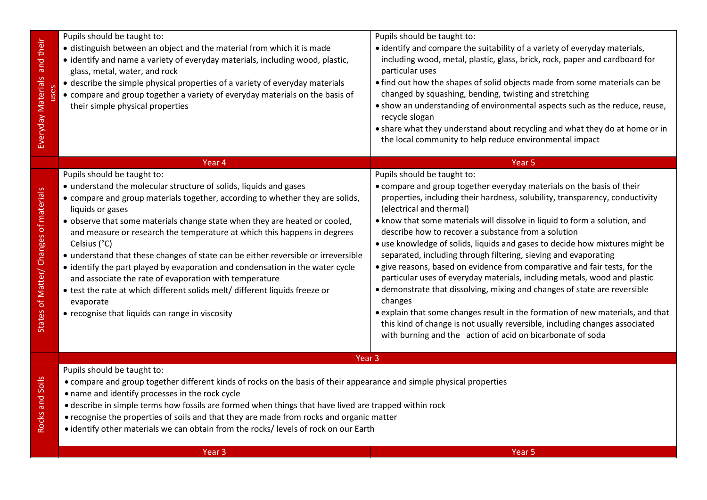| and their<br>Everyday Materials<br>uses | Pupils should be taught to:<br>• distinguish between an object and the material from which it is made<br>• identify and name a variety of everyday materials, including wood, plastic,<br>glass, metal, water, and rock<br>• describe the simple physical properties of a variety of everyday materials<br>• compare and group together a variety of everyday materials on the basis of<br>their simple physical properties                                                                                                                                                                                                                                                                                                                                    | Pupils should be taught to:<br>• identify and compare the suitability of a variety of everyday materials,<br>including wood, metal, plastic, glass, brick, rock, paper and cardboard for<br>particular uses<br>• find out how the shapes of solid objects made from some materials can be<br>changed by squashing, bending, twisting and stretching<br>. show an understanding of environmental aspects such as the reduce, reuse,<br>recycle slogan<br>• share what they understand about recycling and what they do at home or in<br>the local community to help reduce environmental impact                                                                                                                                                                                                                                                                                                                                                                                             |  |  |  |
|-----------------------------------------|----------------------------------------------------------------------------------------------------------------------------------------------------------------------------------------------------------------------------------------------------------------------------------------------------------------------------------------------------------------------------------------------------------------------------------------------------------------------------------------------------------------------------------------------------------------------------------------------------------------------------------------------------------------------------------------------------------------------------------------------------------------|--------------------------------------------------------------------------------------------------------------------------------------------------------------------------------------------------------------------------------------------------------------------------------------------------------------------------------------------------------------------------------------------------------------------------------------------------------------------------------------------------------------------------------------------------------------------------------------------------------------------------------------------------------------------------------------------------------------------------------------------------------------------------------------------------------------------------------------------------------------------------------------------------------------------------------------------------------------------------------------------|--|--|--|
|                                         | Year 4                                                                                                                                                                                                                                                                                                                                                                                                                                                                                                                                                                                                                                                                                                                                                         | Year 5                                                                                                                                                                                                                                                                                                                                                                                                                                                                                                                                                                                                                                                                                                                                                                                                                                                                                                                                                                                     |  |  |  |
| States of Matter/ Changes of materials  | Pupils should be taught to:<br>• understand the molecular structure of solids, liquids and gases<br>• compare and group materials together, according to whether they are solids,<br>liquids or gases<br>. observe that some materials change state when they are heated or cooled,<br>and measure or research the temperature at which this happens in degrees<br>Celsius (°C)<br>• understand that these changes of state can be either reversible or irreversible<br>• identify the part played by evaporation and condensation in the water cycle<br>and associate the rate of evaporation with temperature<br>• test the rate at which different solids melt/ different liquids freeze or<br>evaporate<br>• recognise that liquids can range in viscosity | Pupils should be taught to:<br>• compare and group together everyday materials on the basis of their<br>properties, including their hardness, solubility, transparency, conductivity<br>(electrical and thermal)<br>. know that some materials will dissolve in liquid to form a solution, and<br>describe how to recover a substance from a solution<br>• use knowledge of solids, liquids and gases to decide how mixtures might be<br>separated, including through filtering, sieving and evaporating<br>· give reasons, based on evidence from comparative and fair tests, for the<br>particular uses of everyday materials, including metals, wood and plastic<br>• demonstrate that dissolving, mixing and changes of state are reversible<br>changes<br>• explain that some changes result in the formation of new materials, and that<br>this kind of change is not usually reversible, including changes associated<br>with burning and the action of acid on bicarbonate of soda |  |  |  |
| Rocks and Soils                         | Year <sub>3</sub><br>Pupils should be taught to:<br>• compare and group together different kinds of rocks on the basis of their appearance and simple physical properties<br>• name and identify processes in the rock cycle<br>• describe in simple terms how fossils are formed when things that have lived are trapped within rock<br>• recognise the properties of soils and that they are made from rocks and organic matter<br>• identify other materials we can obtain from the rocks/levels of rock on our Earth                                                                                                                                                                                                                                       |                                                                                                                                                                                                                                                                                                                                                                                                                                                                                                                                                                                                                                                                                                                                                                                                                                                                                                                                                                                            |  |  |  |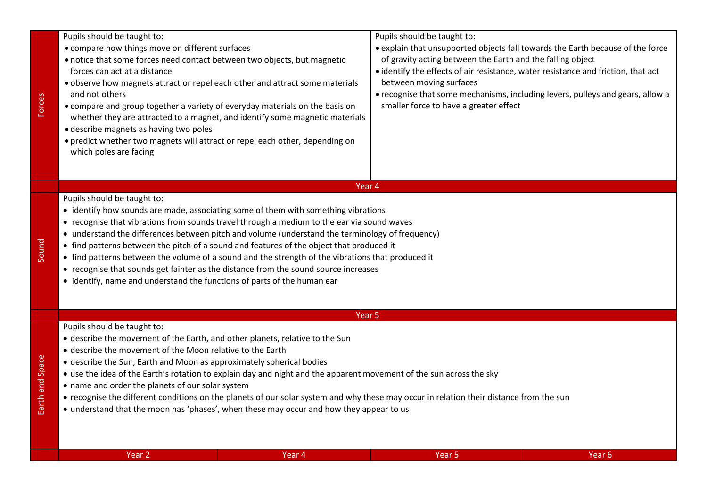| Pupils should be taught to:<br>• compare how things move on different surfaces<br>• notice that some forces need contact between two objects, but magnetic<br>forces can act at a distance<br>. observe how magnets attract or repel each other and attract some materials<br>and not others<br>• compare and group together a variety of everyday materials on the basis on<br>whether they are attracted to a magnet, and identify some magnetic materials<br>• describe magnets as having two poles | Pupils should be taught to:<br>• explain that unsupported objects fall towards the Earth because of the force<br>of gravity acting between the Earth and the falling object<br>• identify the effects of air resistance, water resistance and friction, that act<br>between moving surfaces<br>• recognise that some mechanisms, including levers, pulleys and gears, allow a<br>smaller force to have a greater effect |
|--------------------------------------------------------------------------------------------------------------------------------------------------------------------------------------------------------------------------------------------------------------------------------------------------------------------------------------------------------------------------------------------------------------------------------------------------------------------------------------------------------|-------------------------------------------------------------------------------------------------------------------------------------------------------------------------------------------------------------------------------------------------------------------------------------------------------------------------------------------------------------------------------------------------------------------------|
| • predict whether two magnets will attract or repel each other, depending on<br>which poles are facing                                                                                                                                                                                                                                                                                                                                                                                                 |                                                                                                                                                                                                                                                                                                                                                                                                                         |
| Year 4                                                                                                                                                                                                                                                                                                                                                                                                                                                                                                 |                                                                                                                                                                                                                                                                                                                                                                                                                         |
| Pupils should be taught to:                                                                                                                                                                                                                                                                                                                                                                                                                                                                            |                                                                                                                                                                                                                                                                                                                                                                                                                         |

- identify how sounds are made, associating some of them with something vibrations
- recognise that vibrations from sounds travel through a medium to the ear via sound waves
- understand the differences between pitch and volume (understand the terminology of frequency)
- find patterns between the pitch of a sound and features of the object that produced it
- find patterns between the volume of a sound and the strength of the vibrations that produced it
- recognise that sounds get fainter as the distance from the sound source increases
- identify, name and understand the functions of parts of the human ear

## Year 5

Earth and Space Earth and Space

Sound

Forces

Pupils should be taught to:

- describe the movement of the Earth, and other planets, relative to the Sun
- describe the movement of the Moon relative to the Earth
- describe the Sun, Earth and Moon as approximately spherical bodies
- use the idea of the Earth's rotation to explain day and night and the apparent movement of the sun across the sky
- name and order the planets of our solar system
- recognise the different conditions on the planets of our solar system and why these may occur in relation their distance from the sun
- understand that the moon has 'phases', when these may occur and how they appear to us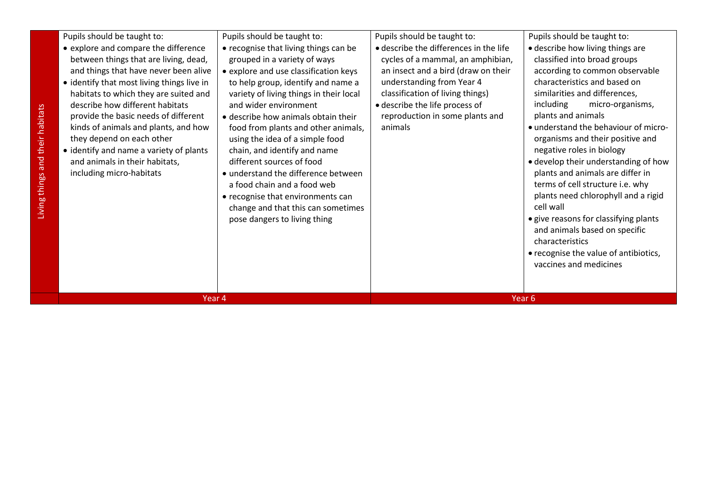| Pupils should be taught to:<br>• explore and compare the difference<br>between things that are living, dead,<br>and things that have never been alive<br>• identify that most living things live in<br>habitats to which they are suited and<br>describe how different habitats<br>provide the basic needs of different<br>kinds of animals and plants, and how<br>they depend on each other<br>• identify and name a variety of plants<br>and animals in their habitats,<br>including micro-habitats | Pupils should be taught to:<br>• recognise that living things can be<br>grouped in a variety of ways<br>• explore and use classification keys<br>to help group, identify and name a<br>variety of living things in their local<br>and wider environment<br>• describe how animals obtain their<br>food from plants and other animals,<br>using the idea of a simple food<br>chain, and identify and name<br>different sources of food<br>• understand the difference between<br>a food chain and a food web<br>• recognise that environments can<br>change and that this can sometimes<br>pose dangers to living thing | Pupils should be taught to:<br>• describe the differences in the life<br>cycles of a mammal, an amphibian,<br>an insect and a bird (draw on their<br>understanding from Year 4<br>classification of living things)<br>· describe the life process of<br>reproduction in some plants and<br>animals | Pupils should be taught to:<br>• describe how living things are<br>classified into broad groups<br>according to common observable<br>characteristics and based on<br>similarities and differences,<br>including<br>micro-organisms,<br>plants and animals<br>• understand the behaviour of micro-<br>organisms and their positive and<br>negative roles in biology<br>• develop their understanding of how<br>plants and animals are differ in<br>terms of cell structure i.e. why<br>plants need chlorophyll and a rigid<br>cell wall<br>• give reasons for classifying plants<br>and animals based on specific<br>characteristics<br>• recognise the value of antibiotics,<br>vaccines and medicines |
|-------------------------------------------------------------------------------------------------------------------------------------------------------------------------------------------------------------------------------------------------------------------------------------------------------------------------------------------------------------------------------------------------------------------------------------------------------------------------------------------------------|------------------------------------------------------------------------------------------------------------------------------------------------------------------------------------------------------------------------------------------------------------------------------------------------------------------------------------------------------------------------------------------------------------------------------------------------------------------------------------------------------------------------------------------------------------------------------------------------------------------------|----------------------------------------------------------------------------------------------------------------------------------------------------------------------------------------------------------------------------------------------------------------------------------------------------|--------------------------------------------------------------------------------------------------------------------------------------------------------------------------------------------------------------------------------------------------------------------------------------------------------------------------------------------------------------------------------------------------------------------------------------------------------------------------------------------------------------------------------------------------------------------------------------------------------------------------------------------------------------------------------------------------------|
| Year 4                                                                                                                                                                                                                                                                                                                                                                                                                                                                                                |                                                                                                                                                                                                                                                                                                                                                                                                                                                                                                                                                                                                                        |                                                                                                                                                                                                                                                                                                    | Year <sub>6</sub>                                                                                                                                                                                                                                                                                                                                                                                                                                                                                                                                                                                                                                                                                      |
|                                                                                                                                                                                                                                                                                                                                                                                                                                                                                                       |                                                                                                                                                                                                                                                                                                                                                                                                                                                                                                                                                                                                                        |                                                                                                                                                                                                                                                                                                    |                                                                                                                                                                                                                                                                                                                                                                                                                                                                                                                                                                                                                                                                                                        |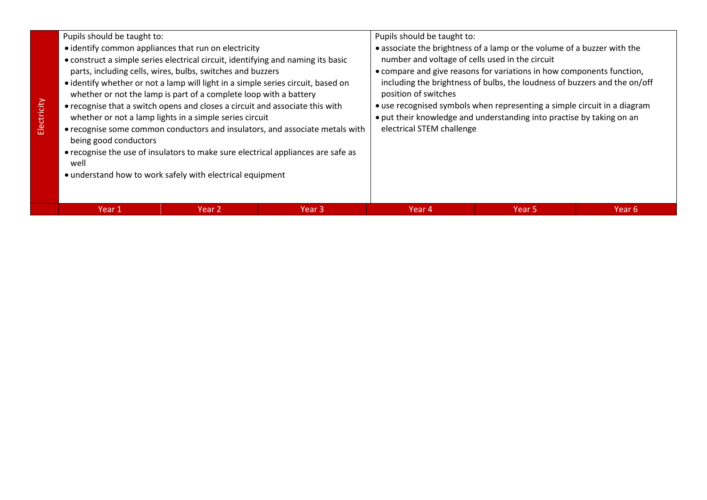**Electricity**